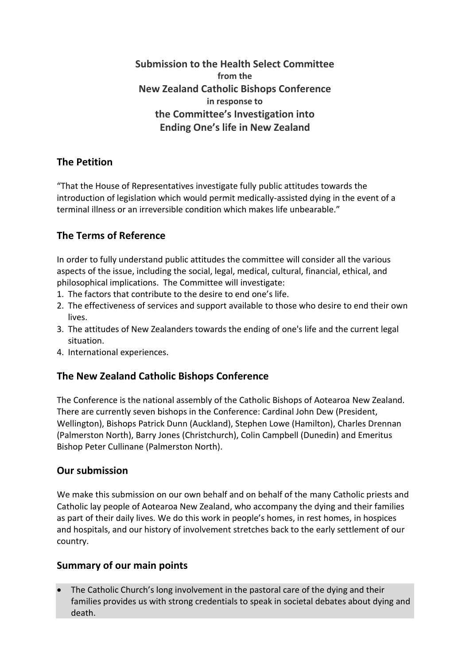**Submission to the Health Select Committee from the New Zealand Catholic Bishops Conference in response to the Committee's Investigation into Ending One's life in New Zealand**

# **The Petition**

"That the House of Representatives investigate fully public attitudes towards the introduction of legislation which would permit medically-assisted dying in the event of a terminal illness or an irreversible condition which makes life unbearable."

# **The Terms of Reference**

In order to fully understand public attitudes the committee will consider all the various aspects of the issue, including the social, legal, medical, cultural, financial, ethical, and philosophical implications. The Committee will investigate:

- 1. The factors that contribute to the desire to end one's life.
- 2. The effectiveness of services and support available to those who desire to end their own lives.
- 3. The attitudes of New Zealanders towards the ending of one's life and the current legal situation.
- 4. International experiences.

## **The New Zealand Catholic Bishops Conference**

The Conference is the national assembly of the Catholic Bishops of Aotearoa New Zealand. There are currently seven bishops in the Conference: Cardinal John Dew (President, Wellington), Bishops Patrick Dunn (Auckland), Stephen Lowe (Hamilton), Charles Drennan (Palmerston North), Barry Jones (Christchurch), Colin Campbell (Dunedin) and Emeritus Bishop Peter Cullinane (Palmerston North).

## **Our submission**

We make this submission on our own behalf and on behalf of the many Catholic priests and Catholic lay people of Aotearoa New Zealand, who accompany the dying and their families as part of their daily lives. We do this work in people's homes, in rest homes, in hospices and hospitals, and our history of involvement stretches back to the early settlement of our country.

## **Summary of our main points**

 The Catholic Church's long involvement in the pastoral care of the dying and their families provides us with strong credentials to speak in societal debates about dying and death.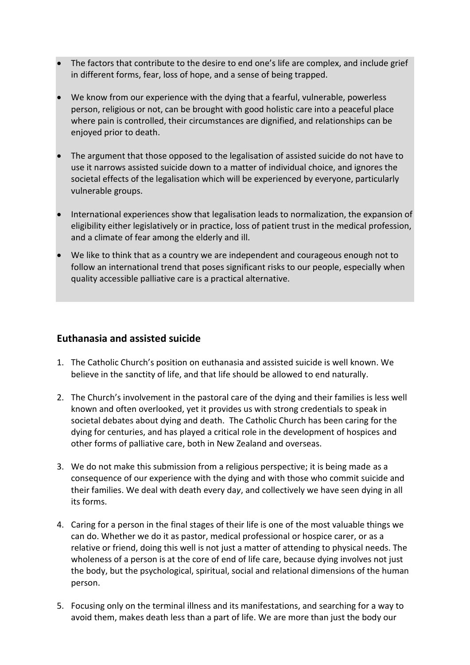- The factors that contribute to the desire to end one's life are complex, and include grief in different forms, fear, loss of hope, and a sense of being trapped.
- We know from our experience with the dying that a fearful, vulnerable, powerless person, religious or not, can be brought with good holistic care into a peaceful place where pain is controlled, their circumstances are dignified, and relationships can be enjoyed prior to death.
- The argument that those opposed to the legalisation of assisted suicide do not have to use it narrows assisted suicide down to a matter of individual choice, and ignores the societal effects of the legalisation which will be experienced by everyone, particularly vulnerable groups.
- International experiences show that legalisation leads to normalization, the expansion of eligibility either legislatively or in practice, loss of patient trust in the medical profession, and a climate of fear among the elderly and ill.
- We like to think that as a country we are independent and courageous enough not to follow an international trend that poses significant risks to our people, especially when quality accessible palliative care is a practical alternative.

## **Euthanasia and assisted suicide**

- 1. The Catholic Church's position on euthanasia and assisted suicide is well known. We believe in the sanctity of life, and that life should be allowed to end naturally.
- 2. The Church's involvement in the pastoral care of the dying and their families is less well known and often overlooked, yet it provides us with strong credentials to speak in societal debates about dying and death. The Catholic Church has been caring for the dying for centuries, and has played a critical role in the development of hospices and other forms of palliative care, both in New Zealand and overseas.
- 3. We do not make this submission from a religious perspective; it is being made as a consequence of our experience with the dying and with those who commit suicide and their families. We deal with death every da*y*, and collectively we have seen dying in all its forms.
- 4. Caring for a person in the final stages of their life is one of the most valuable things we can do. Whether we do it as pastor, medical professional or hospice carer, or as a relative or friend, doing this well is not just a matter of attending to physical needs. The wholeness of a person is at the core of end of life care, because dying involves not just the body, but the psychological, spiritual, social and relational dimensions of the human person.
- 5. Focusing only on the terminal illness and its manifestations, and searching for a way to avoid them, makes death less than a part of life. We are more than just the body our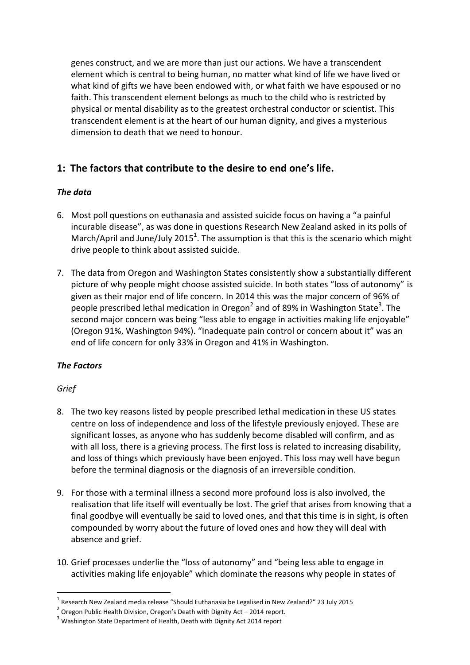genes construct, and we are more than just our actions. We have a transcendent element which is central to being human, no matter what kind of life we have lived or what kind of gifts we have been endowed with, or what faith we have espoused or no faith. This transcendent element belongs as much to the child who is restricted by physical or mental disability as to the greatest orchestral conductor or scientist. This transcendent element is at the heart of our human dignity, and gives a mysterious dimension to death that we need to honour.

# **1: The factors that contribute to the desire to end one's life.**

## *The data*

- 6. Most poll questions on euthanasia and assisted suicide focus on having a "a painful incurable disease", as was done in questions Research New Zealand asked in its polls of March/April and June/July 2015<sup>1</sup>. The assumption is that this is the scenario which might drive people to think about assisted suicide.
- 7. The data from Oregon and Washington States consistently show a substantially different picture of why people might choose assisted suicide. In both states "loss of autonomy" is given as their major end of life concern. In 2014 this was the major concern of 96% of people prescribed lethal medication in Oregon<sup>2</sup> and of 89% in Washington State<sup>3</sup>. The second major concern was being "less able to engage in activities making life enjoyable" (Oregon 91%, Washington 94%). "Inadequate pain control or concern about it" was an end of life concern for only 33% in Oregon and 41% in Washington.

## *The Factors*

## *Grief*

1

- 8. The two key reasons listed by people prescribed lethal medication in these US states centre on loss of independence and loss of the lifestyle previously enjoyed. These are significant losses, as anyone who has suddenly become disabled will confirm, and as with all loss, there is a grieving process. The first loss is related to increasing disability, and loss of things which previously have been enjoyed. This loss may well have begun before the terminal diagnosis or the diagnosis of an irreversible condition.
- 9. For those with a terminal illness a second more profound loss is also involved, the realisation that life itself will eventually be lost. The grief that arises from knowing that a final goodbye will eventually be said to loved ones, and that this time is in sight, is often compounded by worry about the future of loved ones and how they will deal with absence and grief.
- 10. Grief processes underlie the "loss of autonomy" and "being less able to engage in activities making life enjoyable" which dominate the reasons why people in states of

<sup>1</sup> Research New Zealand media release "Should Euthanasia be Legalised in New Zealand?" 23 July 2015

 $2$  Oregon Public Health Division, Oregon's Death with Dignity Act – 2014 report.

<sup>&</sup>lt;sup>3</sup> Washington State Department of Health, Death with Dignity Act 2014 report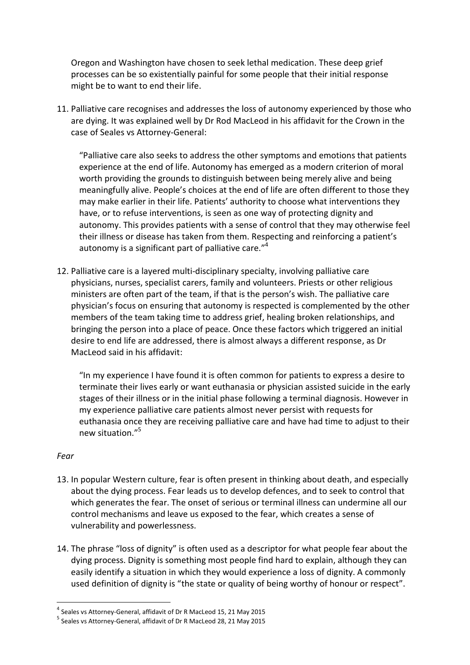Oregon and Washington have chosen to seek lethal medication. These deep grief processes can be so existentially painful for some people that their initial response might be to want to end their life.

11. Palliative care recognises and addresses the loss of autonomy experienced by those who are dying. It was explained well by Dr Rod MacLeod in his affidavit for the Crown in the case of Seales vs Attorney-General:

"Palliative care also seeks to address the other symptoms and emotions that patients experience at the end of life. Autonomy has emerged as a modern criterion of moral worth providing the grounds to distinguish between being merely alive and being meaningfully alive. People's choices at the end of life are often different to those they may make earlier in their life. Patients' authority to choose what interventions they have, or to refuse interventions, is seen as one way of protecting dignity and autonomy. This provides patients with a sense of control that they may otherwise feel their illness or disease has taken from them. Respecting and reinforcing a patient's autonomy is a significant part of palliative care."<sup>4</sup>

12. Palliative care is a layered multi-disciplinary specialty, involving palliative care physicians, nurses, specialist carers, family and volunteers. Priests or other religious ministers are often part of the team, if that is the person's wish. The palliative care physician's focus on ensuring that autonomy is respected is complemented by the other members of the team taking time to address grief, healing broken relationships, and bringing the person into a place of peace. Once these factors which triggered an initial desire to end life are addressed, there is almost always a different response, as Dr MacLeod said in his affidavit:

"In my experience I have found it is often common for patients to express a desire to terminate their lives early or want euthanasia or physician assisted suicide in the early stages of their illness or in the initial phase following a terminal diagnosis. However in my experience palliative care patients almost never persist with requests for euthanasia once they are receiving palliative care and have had time to adjust to their new situation."<sup>5</sup>

#### *Fear*

- 13. In popular Western culture, fear is often present in thinking about death, and especially about the dying process. Fear leads us to develop defences, and to seek to control that which generates the fear. The onset of serious or terminal illness can undermine all our control mechanisms and leave us exposed to the fear, which creates a sense of vulnerability and powerlessness.
- 14. The phrase "loss of dignity" is often used as a descriptor for what people fear about the dying process. Dignity is something most people find hard to explain, although they can easily identify a situation in which they would experience a loss of dignity. A commonly used definition of dignity is "the state or quality of being worthy of honour or respect".

<sup>4</sup> Seales vs Attorney-General, affidavit of Dr R MacLeod 15, 21 May 2015

<sup>5</sup> Seales vs Attorney-General, affidavit of Dr R MacLeod 28, 21 May 2015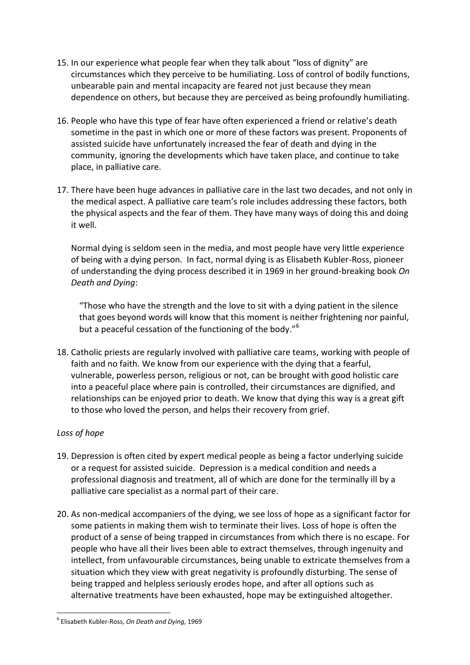- 15. In our experience what people fear when they talk about "loss of dignity" are circumstances which they perceive to be humiliating. Loss of control of bodily functions, unbearable pain and mental incapacity are feared not just because they mean dependence on others, but because they are perceived as being profoundly humiliating.
- 16. People who have this type of fear have often experienced a friend or relative's death sometime in the past in which one or more of these factors was present. Proponents of assisted suicide have unfortunately increased the fear of death and dying in the community, ignoring the developments which have taken place, and continue to take place, in palliative care.
- 17. There have been huge advances in palliative care in the last two decades, and not only in the medical aspect. A palliative care team's role includes addressing these factors, both the physical aspects and the fear of them. They have many ways of doing this and doing it well.

Normal dying is seldom seen in the media, and most people have very little experience of being with a dying person. In fact, normal dying is as Elisabeth Kubler-Ross, pioneer of understanding the dying process described it in 1969 in her ground-breaking book *On Death and Dying*:

"Those who have the strength and the love to sit with a dying patient in the silence that goes beyond words will know that this moment is neither frightening nor painful, but a peaceful cessation of the functioning of the body."<sup>6</sup>

18. Catholic priests are regularly involved with palliative care teams, working with people of faith and no faith. We know from our experience with the dying that a fearful, vulnerable, powerless person, religious or not, can be brought with good holistic care into a peaceful place where pain is controlled, their circumstances are dignified, and relationships can be enjoyed prior to death. We know that dying this way is a great gift to those who loved the person, and helps their recovery from grief.

### *Loss of hope*

- 19. Depression is often cited by expert medical people as being a factor underlying suicide or a request for assisted suicide. Depression is a medical condition and needs a professional diagnosis and treatment, all of which are done for the terminally ill by a palliative care specialist as a normal part of their care.
- 20. As non-medical accompaniers of the dying, we see loss of hope as a significant factor for some patients in making them wish to terminate their lives. Loss of hope is often the product of a sense of being trapped in circumstances from which there is no escape. For people who have all their lives been able to extract themselves, through ingenuity and intellect, from unfavourable circumstances, being unable to extricate themselves from a situation which they view with great negativity is profoundly disturbing. The sense of being trapped and helpless seriously erodes hope, and after all options such as alternative treatments have been exhausted, hope may be extinguished altogether.

<sup>6</sup> Elisabeth Kubler-Ross, *On Death and Dying*, 1969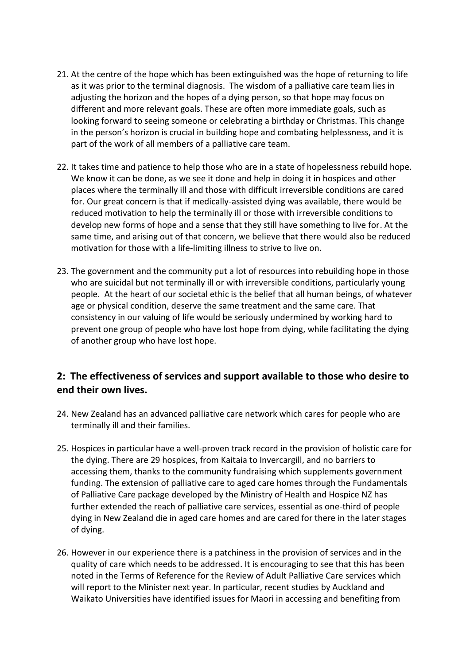- 21. At the centre of the hope which has been extinguished was the hope of returning to life as it was prior to the terminal diagnosis. The wisdom of a palliative care team lies in adjusting the horizon and the hopes of a dying person, so that hope may focus on different and more relevant goals. These are often more immediate goals, such as looking forward to seeing someone or celebrating a birthday or Christmas. This change in the person's horizon is crucial in building hope and combating helplessness, and it is part of the work of all members of a palliative care team.
- 22. It takes time and patience to help those who are in a state of hopelessness rebuild hope. We know it can be done, as we see it done and help in doing it in hospices and other places where the terminally ill and those with difficult irreversible conditions are cared for. Our great concern is that if medically-assisted dying was available, there would be reduced motivation to help the terminally ill or those with irreversible conditions to develop new forms of hope and a sense that they still have something to live for. At the same time, and arising out of that concern, we believe that there would also be reduced motivation for those with a life-limiting illness to strive to live on.
- 23. The government and the community put a lot of resources into rebuilding hope in those who are suicidal but not terminally ill or with irreversible conditions, particularly young people. At the heart of our societal ethic is the belief that all human beings, of whatever age or physical condition, deserve the same treatment and the same care. That consistency in our valuing of life would be seriously undermined by working hard to prevent one group of people who have lost hope from dying, while facilitating the dying of another group who have lost hope.

# **2: The effectiveness of services and support available to those who desire to end their own lives.**

- 24. New Zealand has an advanced palliative care network which cares for people who are terminally ill and their families.
- 25. Hospices in particular have a well-proven track record in the provision of holistic care for the dying. There are 29 hospices, from Kaitaia to Invercargill, and no barriers to accessing them, thanks to the community fundraising which supplements government funding. The extension of palliative care to aged care homes through the Fundamentals of Palliative Care package developed by the Ministry of Health and Hospice NZ has further extended the reach of palliative care services, essential as one-third of people dying in New Zealand die in aged care homes and are cared for there in the later stages of dying.
- 26. However in our experience there is a patchiness in the provision of services and in the quality of care which needs to be addressed. It is encouraging to see that this has been noted in the Terms of Reference for the Review of Adult Palliative Care services which will report to the Minister next year. In particular, recent studies by Auckland and Waikato Universities have identified issues for Maori in accessing and benefiting from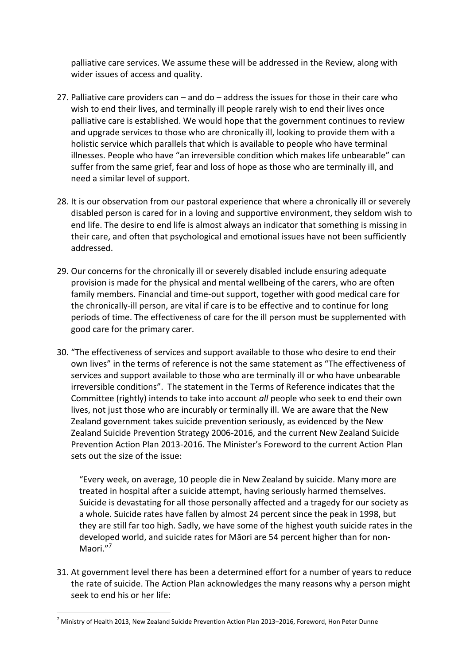palliative care services. We assume these will be addressed in the Review, along with wider issues of access and quality.

- 27. Palliative care providers can and do address the issues for those in their care who wish to end their lives, and terminally ill people rarely wish to end their lives once palliative care is established. We would hope that the government continues to review and upgrade services to those who are chronically ill, looking to provide them with a holistic service which parallels that which is available to people who have terminal illnesses. People who have "an irreversible condition which makes life unbearable" can suffer from the same grief, fear and loss of hope as those who are terminally ill, and need a similar level of support.
- 28. It is our observation from our pastoral experience that where a chronically ill or severely disabled person is cared for in a loving and supportive environment, they seldom wish to end life. The desire to end life is almost always an indicator that something is missing in their care, and often that psychological and emotional issues have not been sufficiently addressed.
- 29. Our concerns for the chronically ill or severely disabled include ensuring adequate provision is made for the physical and mental wellbeing of the carers, who are often family members. Financial and time-out support, together with good medical care for the chronically-ill person, are vital if care is to be effective and to continue for long periods of time. The effectiveness of care for the ill person must be supplemented with good care for the primary carer.
- 30. "The effectiveness of services and support available to those who desire to end their own lives" in the terms of reference is not the same statement as "The effectiveness of services and support available to those who are terminally ill or who have unbearable irreversible conditions". The statement in the Terms of Reference indicates that the Committee (rightly) intends to take into account *all* people who seek to end their own lives, not just those who are incurably or terminally ill. We are aware that the New Zealand government takes suicide prevention seriously, as evidenced by the New Zealand Suicide Prevention Strategy 2006-2016, and the current New Zealand Suicide Prevention Action Plan 2013-2016. The Minister's Foreword to the current Action Plan sets out the size of the issue:

"Every week, on average, 10 people die in New Zealand by suicide. Many more are treated in hospital after a suicide attempt, having seriously harmed themselves. Suicide is devastating for all those personally affected and a tragedy for our society as a whole. Suicide rates have fallen by almost 24 percent since the peak in 1998, but they are still far too high. Sadly, we have some of the highest youth suicide rates in the developed world, and suicide rates for Māori are 54 percent higher than for non-Maori."<sup>7</sup>

31. At government level there has been a determined effort for a number of years to reduce the rate of suicide. The Action Plan acknowledges the many reasons why a person might seek to end his or her life:

<sup>7</sup> Ministry of Health 2013, New Zealand Suicide Prevention Action Plan 2013–2016, Foreword, Hon Peter Dunne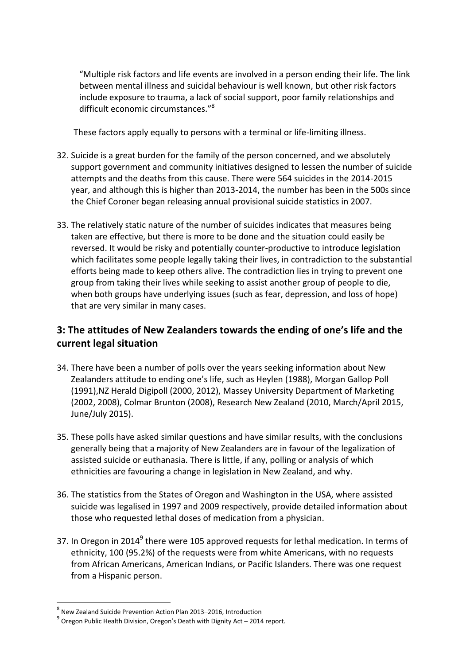"Multiple risk factors and life events are involved in a person ending their life. The link between mental illness and suicidal behaviour is well known, but other risk factors include exposure to trauma, a lack of social support, poor family relationships and difficult economic circumstances."<sup>8</sup>

These factors apply equally to persons with a terminal or life-limiting illness.

- 32. Suicide is a great burden for the family of the person concerned, and we absolutely support government and community initiatives designed to lessen the number of suicide attempts and the deaths from this cause. There were 564 suicides in the 2014-2015 year, and although this is higher than 2013-2014, the number has been in the 500s since the Chief Coroner began releasing annual provisional suicide statistics in 2007.
- 33. The relatively static nature of the number of suicides indicates that measures being taken are effective, but there is more to be done and the situation could easily be reversed. It would be risky and potentially counter-productive to introduce legislation which facilitates some people legally taking their lives, in contradiction to the substantial efforts being made to keep others alive. The contradiction lies in trying to prevent one group from taking their lives while seeking to assist another group of people to die, when both groups have underlying issues (such as fear, depression, and loss of hope) that are very similar in many cases.

# **3: The attitudes of New Zealanders towards the ending of one's life and the current legal situation**

- 34. There have been a number of polls over the years seeking information about New Zealanders attitude to ending one's life, such as Heylen (1988), Morgan Gallop Poll (1991),NZ Herald Digipoll (2000, 2012), Massey University Department of Marketing (2002, 2008), Colmar Brunton (2008), Research New Zealand (2010, March/April 2015, June/July 2015).
- 35. These polls have asked similar questions and have similar results, with the conclusions generally being that a majority of New Zealanders are in favour of the legalization of assisted suicide or euthanasia. There is little, if any, polling or analysis of which ethnicities are favouring a change in legislation in New Zealand, and why.
- 36. The statistics from the States of Oregon and Washington in the USA, where assisted suicide was legalised in 1997 and 2009 respectively, provide detailed information about those who requested lethal doses of medication from a physician.
- 37. In Oregon in 2014<sup>9</sup> there were 105 approved requests for lethal medication. In terms of ethnicity, 100 (95.2%) of the requests were from white Americans, with no requests from African Americans, American Indians, or Pacific Islanders. There was one request from a Hispanic person.

<sup>8</sup> New Zealand Suicide Prevention Action Plan 2013–2016, Introduction

 $^{9}$  Oregon Public Health Division, Oregon's Death with Dignity Act – 2014 report.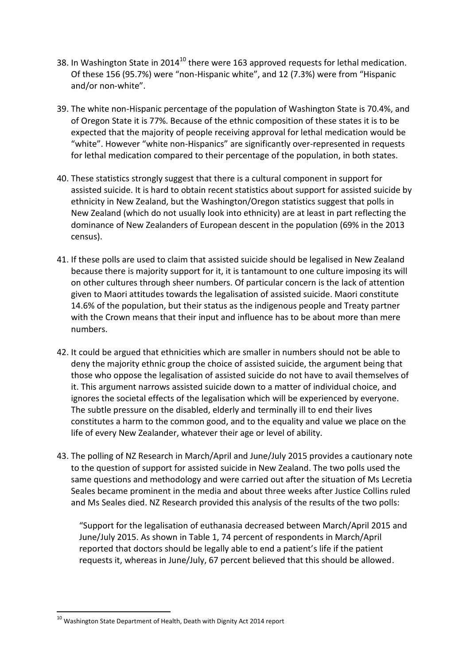- 38. In Washington State in 2014 $^{10}$  there were 163 approved requests for lethal medication. Of these 156 (95.7%) were "non-Hispanic white", and 12 (7.3%) were from "Hispanic and/or non-white".
- 39. The white non-Hispanic percentage of the population of Washington State is 70.4%, and of Oregon State it is 77%. Because of the ethnic composition of these states it is to be expected that the majority of people receiving approval for lethal medication would be "white". However "white non-Hispanics" are significantly over-represented in requests for lethal medication compared to their percentage of the population, in both states.
- 40. These statistics strongly suggest that there is a cultural component in support for assisted suicide. It is hard to obtain recent statistics about support for assisted suicide by ethnicity in New Zealand, but the Washington/Oregon statistics suggest that polls in New Zealand (which do not usually look into ethnicity) are at least in part reflecting the dominance of New Zealanders of European descent in the population (69% in the 2013 census).
- 41. If these polls are used to claim that assisted suicide should be legalised in New Zealand because there is majority support for it, it is tantamount to one culture imposing its will on other cultures through sheer numbers. Of particular concern is the lack of attention given to Maori attitudes towards the legalisation of assisted suicide. Maori constitute 14.6% of the population, but their status as the indigenous people and Treaty partner with the Crown means that their input and influence has to be about more than mere numbers.
- 42. It could be argued that ethnicities which are smaller in numbers should not be able to deny the majority ethnic group the choice of assisted suicide, the argument being that those who oppose the legalisation of assisted suicide do not have to avail themselves of it. This argument narrows assisted suicide down to a matter of individual choice, and ignores the societal effects of the legalisation which will be experienced by everyone. The subtle pressure on the disabled, elderly and terminally ill to end their lives constitutes a harm to the common good, and to the equality and value we place on the life of every New Zealander, whatever their age or level of ability.
- 43. The polling of NZ Research in March/April and June/July 2015 provides a cautionary note to the question of support for assisted suicide in New Zealand. The two polls used the same questions and methodology and were carried out after the situation of Ms Lecretia Seales became prominent in the media and about three weeks after Justice Collins ruled and Ms Seales died. NZ Research provided this analysis of the results of the two polls:

"Support for the legalisation of euthanasia decreased between March/April 2015 and June/July 2015. As shown in Table 1, 74 percent of respondents in March/April reported that doctors should be legally able to end a patient's life if the patient requests it, whereas in June/July, 67 percent believed that this should be allowed.

1

 $^{10}$  Washington State Department of Health, Death with Dignity Act 2014 report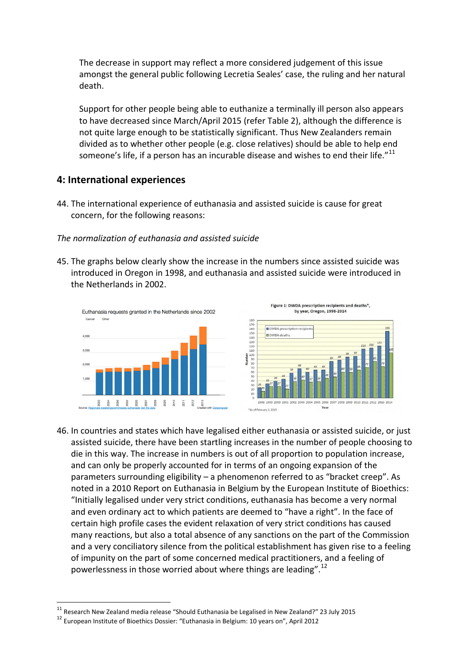The decrease in support may reflect a more considered judgement of this issue amongst the general public following Lecretia Seales' case, the ruling and her natural death.

Support for other people being able to euthanize a terminally ill person also appears to have decreased since March/April 2015 (refer Table 2), although the difference is not quite large enough to be statistically significant. Thus New Zealanders remain divided as to whether other people (e.g. close relatives) should be able to help end someone's life, if a person has an incurable disease and wishes to end their life."<sup>11</sup>

### **4: International experiences**

44. The international experience of euthanasia and assisted suicide is cause for great concern, for the following reasons:

### *The normalization of euthanasia and assisted suicide*

45. The graphs below clearly show the increase in the numbers since assisted suicide was introduced in Oregon in 1998, and euthanasia and assisted suicide were introduced in the Netherlands in 2002.





46. In countries and states which have legalised either euthanasia or assisted suicide, or just assisted suicide, there have been startling increases in the number of people choosing to die in this way. The increase in numbers is out of all proportion to population increase, and can only be properly accounted for in terms of an ongoing expansion of the parameters surrounding eligibility – a phenomenon referred to as "bracket creep". As noted in a 2010 Report on Euthanasia in Belgium by the European Institute of Bioethics: "Initially legalised under very strict conditions, euthanasia has become a very normal and even ordinary act to which patients are deemed to "have a right". In the face of certain high profile cases the evident relaxation of very strict conditions has caused many reactions, but also a total absence of any sanctions on the part of the Commission and a very conciliatory silence from the political establishment has given rise to a feeling of impunity on the part of some concerned medical practitioners, and a feeling of powerlessness in those worried about where things are leading". $^{12}$ 

 $^{11}$  Research New Zealand media release "Should Euthanasia be Legalised in New Zealand?" 23 July 2015

<sup>12</sup> European Institute of Bioethics Dossier: "Euthanasia in Belgium: 10 years on", April 2012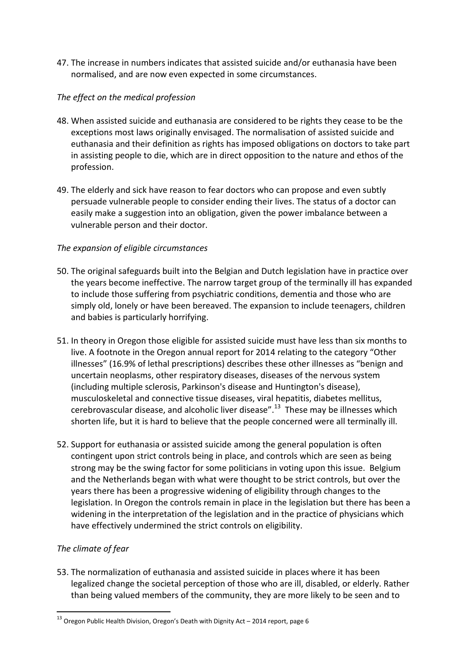47. The increase in numbers indicates that assisted suicide and/or euthanasia have been normalised, and are now even expected in some circumstances.

### *The effect on the medical profession*

- 48. When assisted suicide and euthanasia are considered to be rights they cease to be the exceptions most laws originally envisaged. The normalisation of assisted suicide and euthanasia and their definition as rights has imposed obligations on doctors to take part in assisting people to die, which are in direct opposition to the nature and ethos of the profession.
- 49. The elderly and sick have reason to fear doctors who can propose and even subtly persuade vulnerable people to consider ending their lives. The status of a doctor can easily make a suggestion into an obligation, given the power imbalance between a vulnerable person and their doctor.

#### *The expansion of eligible circumstances*

- 50. The original safeguards built into the Belgian and Dutch legislation have in practice over the years become ineffective. The narrow target group of the terminally ill has expanded to include those suffering from psychiatric conditions, dementia and those who are simply old, lonely or have been bereaved. The expansion to include teenagers, children and babies is particularly horrifying.
- 51. In theory in Oregon those eligible for assisted suicide must have less than six months to live. A footnote in the Oregon annual report for 2014 relating to the category "Other illnesses" (16.9% of lethal prescriptions) describes these other illnesses as "benign and uncertain neoplasms, other respiratory diseases, diseases of the nervous system (including multiple sclerosis, Parkinson's disease and Huntington's disease), musculoskeletal and connective tissue diseases, viral hepatitis, diabetes mellitus, cerebrovascular disease, and alcoholic liver disease". $^{13}$  These may be illnesses which shorten life, but it is hard to believe that the people concerned were all terminally ill.
- 52. Support for euthanasia or assisted suicide among the general population is often contingent upon strict controls being in place, and controls which are seen as being strong may be the swing factor for some politicians in voting upon this issue. Belgium and the Netherlands began with what were thought to be strict controls, but over the years there has been a progressive widening of eligibility through changes to the legislation. In Oregon the controls remain in place in the legislation but there has been a widening in the interpretation of the legislation and in the practice of physicians which have effectively undermined the strict controls on eligibility.

### *The climate of fear*

1

53. The normalization of euthanasia and assisted suicide in places where it has been legalized change the societal perception of those who are ill, disabled, or elderly. Rather than being valued members of the community, they are more likely to be seen and to

 $^{13}$  Oregon Public Health Division, Oregon's Death with Dignity Act – 2014 report, page 6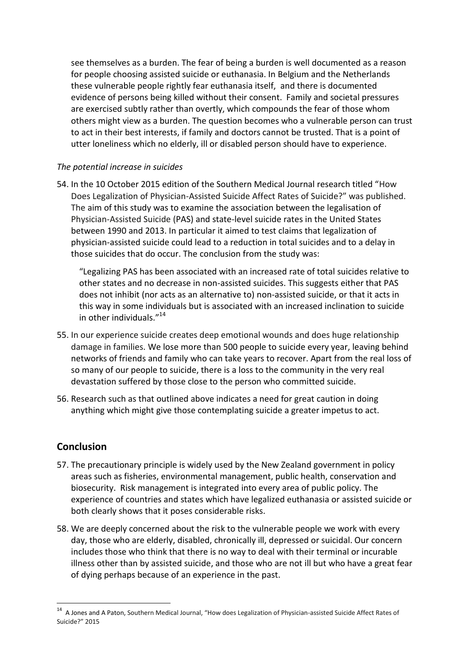see themselves as a burden. The fear of being a burden is well documented as a reason for people choosing assisted suicide or euthanasia. In Belgium and the Netherlands these vulnerable people rightly fear euthanasia itself, and there is documented evidence of persons being killed without their consent. Family and societal pressures are exercised subtly rather than overtly, which compounds the fear of those whom others might view as a burden. The question becomes who a vulnerable person can trust to act in their best interests, if family and doctors cannot be trusted. That is a point of utter loneliness which no elderly, ill or disabled person should have to experience.

### *The potential increase in suicides*

54. In the 10 October 2015 edition of the Southern Medical Journal research titled "How Does Legalization of Physician-Assisted Suicide Affect Rates of Suicide?" was published. The aim of this study was to examine the association between the legalisation of Physician-Assisted Suicide (PAS) and state-level suicide rates in the United States between 1990 and 2013. In particular it aimed to test claims that legalization of physician-assisted suicide could lead to a reduction in total suicides and to a delay in those suicides that do occur. The conclusion from the study was:

"Legalizing PAS has been associated with an increased rate of total suicides relative to other states and no decrease in non-assisted suicides. This suggests either that PAS does not inhibit (nor acts as an alternative to) non-assisted suicide, or that it acts in this way in some individuals but is associated with an increased inclination to suicide in other individuals."<sup>14</sup>

- 55. In our experience suicide creates deep emotional wounds and does huge relationship damage in families. We lose more than 500 people to suicide every year, leaving behind networks of friends and family who can take years to recover. Apart from the real loss of so many of our people to suicide, there is a loss to the community in the very real devastation suffered by those close to the person who committed suicide.
- 56. Research such as that outlined above indicates a need for great caution in doing anything which might give those contemplating suicide a greater impetus to act.

## **Conclusion**

- 57. The precautionary principle is widely used by the New Zealand government in policy areas such as fisheries, environmental management, public health, conservation and biosecurity. Risk management is integrated into every area of public policy. The experience of countries and states which have legalized euthanasia or assisted suicide or both clearly shows that it poses considerable risks.
- 58. We are deeply concerned about the risk to the vulnerable people we work with every day, those who are elderly, disabled, chronically ill, depressed or suicidal. Our concern includes those who think that there is no way to deal with their terminal or incurable illness other than by assisted suicide, and those who are not ill but who have a great fear of dying perhaps because of an experience in the past.

 14 A Jones and A Paton, Southern Medical Journal, "How does Legalization of Physician-assisted Suicide Affect Rates of Suicide?" 2015